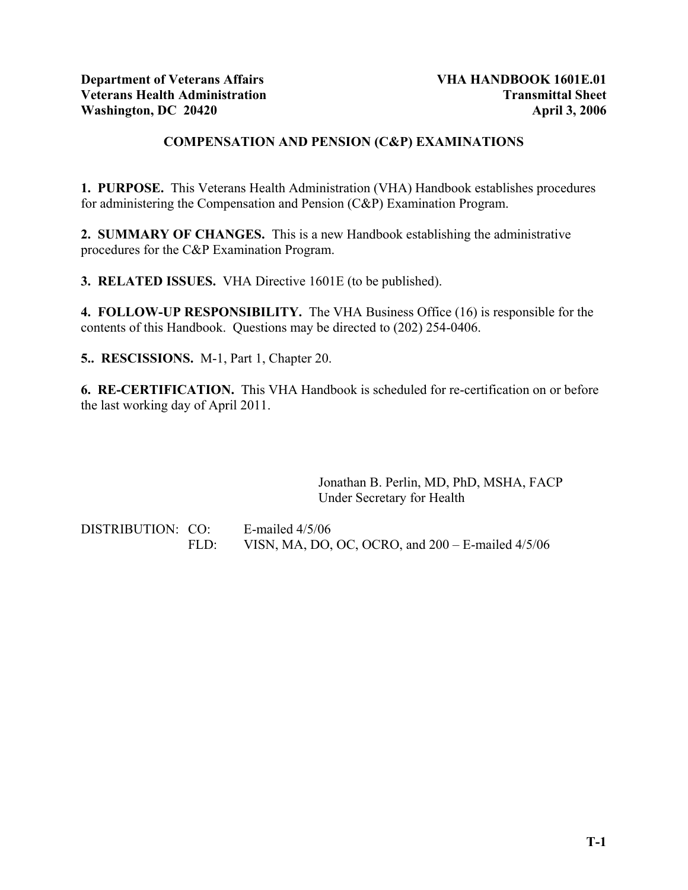## **COMPENSATION AND PENSION (C&P) EXAMINATIONS**

**1. PURPOSE.** This Veterans Health Administration (VHA) Handbook establishes procedures for administering the Compensation and Pension (C&P) Examination Program.

**2. SUMMARY OF CHANGES.** This is a new Handbook establishing the administrative procedures for the C&P Examination Program.

**3. RELATED ISSUES.** VHA Directive 1601E (to be published).

**4. FOLLOW-UP RESPONSIBILITY.** The VHA Business Office (16) is responsible for the contents of this Handbook. Questions may be directed to (202) 254-0406.

**5.. RESCISSIONS.** M-1, Part 1, Chapter 20.

**6. RE-CERTIFICATION.** This VHA Handbook is scheduled for re-certification on or before the last working day of April 2011.

> Jonathan B. Perlin, MD, PhD, MSHA, FACP Under Secretary for Health

DISTRIBUTION: CO: E-mailed 4/5/06 FLD: VISN, MA, DO, OC, OCRO, and 200 – E-mailed 4/5/06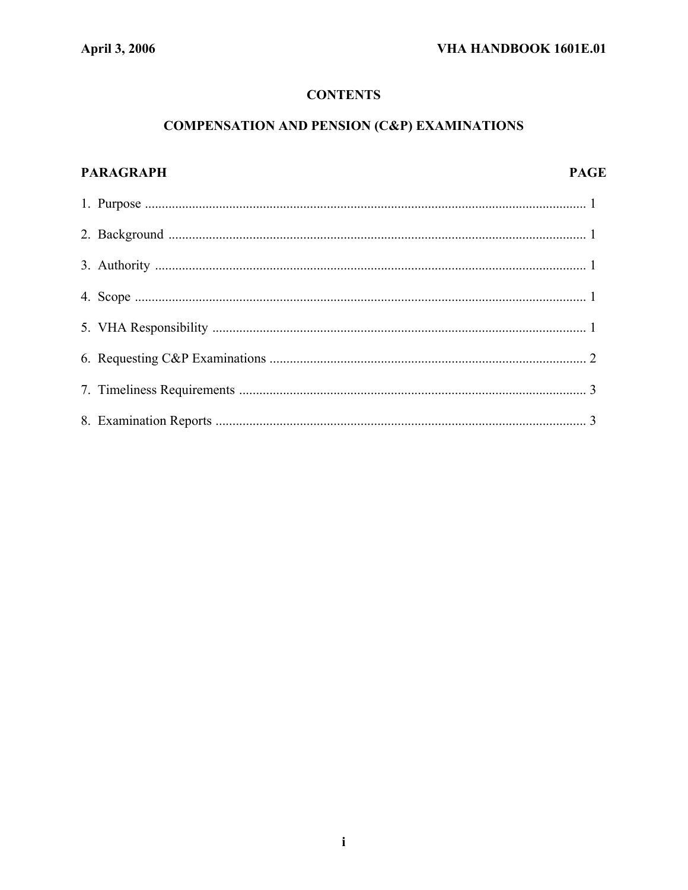# **CONTENTS**

# **COMPENSATION AND PENSION (C&P) EXAMINATIONS**

# **PARAGRAPH PAGE**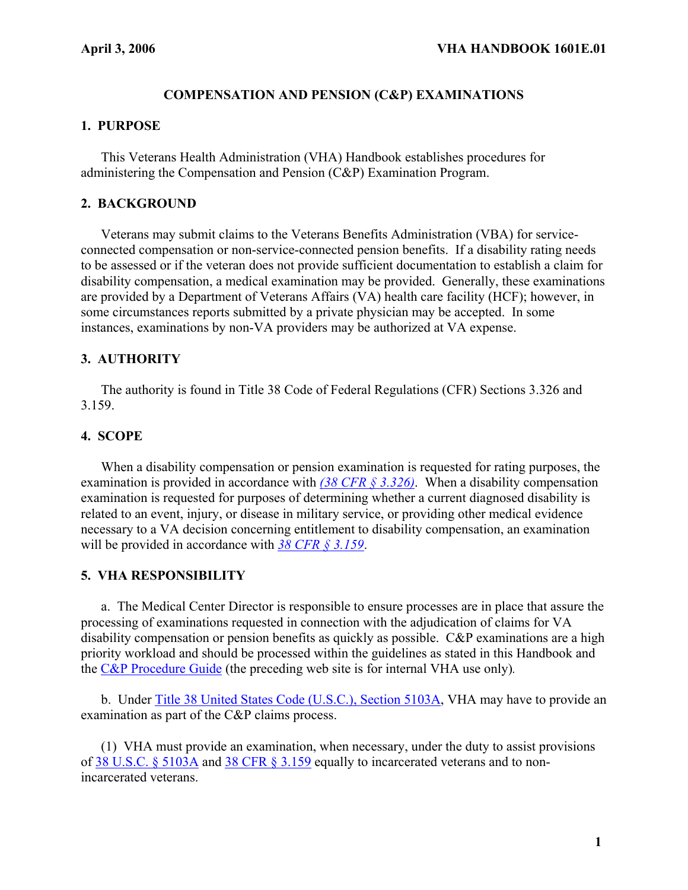## **COMPENSATION AND PENSION (C&P) EXAMINATIONS**

#### **1. PURPOSE**

This Veterans Health Administration (VHA) Handbook establishes procedures for administering the Compensation and Pension (C&P) Examination Program.

#### **2. BACKGROUND**

Veterans may submit claims to the Veterans Benefits Administration (VBA) for serviceconnected compensation or non-service-connected pension benefits. If a disability rating needs to be assessed or if the veteran does not provide sufficient documentation to establish a claim for disability compensation, a medical examination may be provided. Generally, these examinations are provided by a Department of Veterans Affairs (VA) health care facility (HCF); however, in some circumstances reports submitted by a private physician may be accepted. In some instances, examinations by non-VA providers may be authorized at VA expense.

## **3. AUTHORITY**

 The authority is found in Title 38 Code of Federal Regulations (CFR) Sections 3.326 and 3.159.

#### **4. SCOPE**

 When a disability compensation or pension examination is requested for rating purposes, the examination is provided in accordance with *[\(38 CFR § 3.326\)](http://ecfr.gpoaccess.gov/cgi/t/text/text-idx?c=ecfr&sid=7e06368c0caafaff6c30f16dc67fd9dd&rgn=div8&view=text&node=38:1.0.1.1.4.2.65.131&idno=38)*. When a disability compensation examination is requested for purposes of determining whether a current diagnosed disability is related to an event, injury, or disease in military service, or providing other medical evidence necessary to a VA decision concerning entitlement to disability compensation, an examination will be provided in accordance with *[38 CFR § 3.159](http://ecfr.gpoaccess.gov/cgi/t/text/text-idx?c=ecfr&sid=7e06368c0caafaff6c30f16dc67fd9dd&rgn=div8&view=text&node=38:1.0.1.1.4.1.58.68&idno=38)*.

#### **5. VHA RESPONSIBILITY**

 a. The Medical Center Director is responsible to ensure processes are in place that assure the processing of examinations requested in connection with the adjudication of claims for VA disability compensation or pension benefits as quickly as possible. C&P examinations are a high priority workload and should be processed within the guidelines as stated in this Handbook and the [C&P Procedure Guide](http://vaww1.va.gov/CBO/policy/policyguides/index.asp?mode=contents&id=@4) (the preceding web site is for internal VHA use only)*.*

 b. Under [Title 38 United States Code \(U.S.C.\), Section 5103A](http://www4.law.cornell.edu/uscode/search/display.html?terms=5103&url=/uscode/html/uscode38/usc_sec_38_00005103----000-.html), VHA may have to provide an examination as part of the C&P claims process.

 (1) VHA must provide an examination, when necessary, under the duty to assist provisions of [38 U.S.C. § 5103A](http://www4.law.cornell.edu/uscode/html/uscode38/usc_sec_38_00005103----000-.html) and [38 CFR § 3.159](http://a257.g.akamaitech.net/7/257/2422/12feb20041500/edocket.access.gpo.gov/cfr_2004/julqtr/38cfr3.159.htm) equally to incarcerated veterans and to nonincarcerated veterans.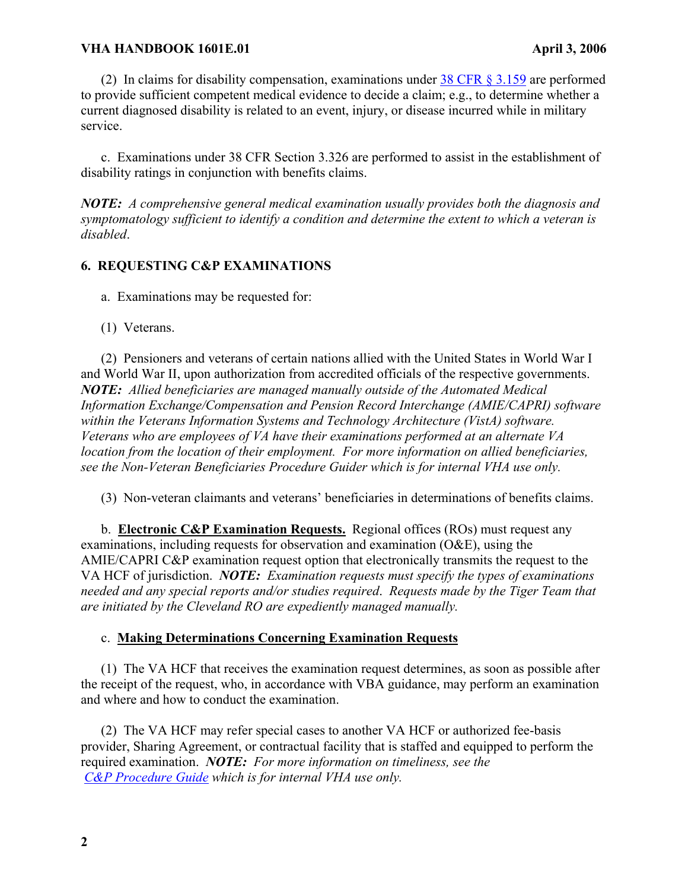## **VHA HANDBOOK 1601E.01 April 3, 2006**

(2) In claims for disability compensation, examinations under  $38$  CFR  $\S 3.159$  are performed to provide sufficient competent medical evidence to decide a claim; e.g., to determine whether a current diagnosed disability is related to an event, injury, or disease incurred while in military service.

 c. Examinations under 38 CFR Section 3.326 are performed to assist in the establishment of disability ratings in conjunction with benefits claims.

*NOTE: A comprehensive general medical examination usually provides both the diagnosis and symptomatology sufficient to identify a condition and determine the extent to which a veteran is disabled*.

#### **6. REQUESTING C&P EXAMINATIONS**

a. Examinations may be requested for:

(1) Veterans.

 (2) Pensioners and veterans of certain nations allied with the United States in World War I and World War II, upon authorization from accredited officials of the respective governments. *NOTE: Allied beneficiaries are managed manually outside of the Automated Medical Information Exchange/Compensation and Pension Record Interchange (AMIE/CAPRI) software within the Veterans Information Systems and Technology Architecture (VistA) software. Veterans who are employees of VA have their examinations performed at an alternate VA location from the location of their employment. For more information on allied beneficiaries, see the Non-Veteran Beneficiaries Procedure Guider which is for internal VHA use only.* 

(3) Non-veteran claimants and veterans' beneficiaries in determinations of benefits claims.

 b. **Electronic C&P Examination Requests.** Regional offices (ROs) must request any examinations, including requests for observation and examination (O&E), using the AMIE/CAPRI C&P examination request option that electronically transmits the request to the VA HCF of jurisdiction. *NOTE: Examination requests must specify the types of examinations needed and any special reports and/or studies required*. *Requests made by the Tiger Team that are initiated by the Cleveland RO are expediently managed manually.*

#### c. **Making Determinations Concerning Examination Requests**

 (1) The VA HCF that receives the examination request determines, as soon as possible after the receipt of the request, who, in accordance with VBA guidance, may perform an examination and where and how to conduct the examination.

 (2) The VA HCF may refer special cases to another VA HCF or authorized fee-basis provider, Sharing Agreement, or contractual facility that is staffed and equipped to perform the required examination. *NOTE: For more information on timeliness, see the [C&P Procedure Guide](http://vaww1.va.gov/CBO/policy/policyguides/index.asp?mode=contents&id=@4) which is for internal VHA use only.*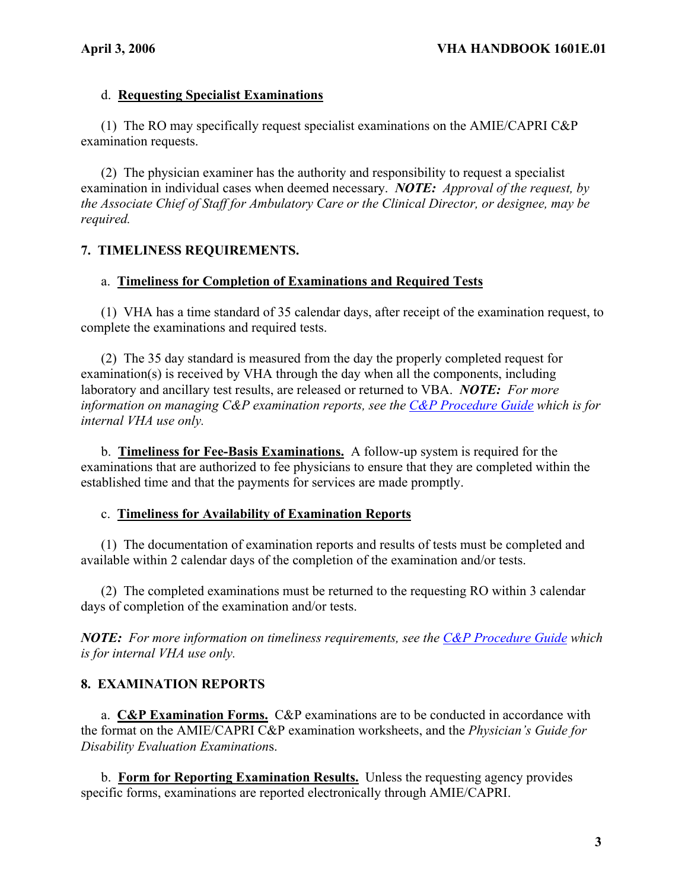## d. **Requesting Specialist Examinations**

 (1) The RO may specifically request specialist examinations on the AMIE/CAPRI C&P examination requests.

 (2) The physician examiner has the authority and responsibility to request a specialist examination in individual cases when deemed necessary. *NOTE: Approval of the request, by the Associate Chief of Staff for Ambulatory Care or the Clinical Director, or designee, may be required.* 

# **7. TIMELINESS REQUIREMENTS.**

# a. **Timeliness for Completion of Examinations and Required Tests**

 (1) VHA has a time standard of 35 calendar days, after receipt of the examination request, to complete the examinations and required tests.

 (2) The 35 day standard is measured from the day the properly completed request for examination(s) is received by VHA through the day when all the components, including laboratory and ancillary test results, are released or returned to VBA. *NOTE: For more information on managing C&P examination reports, see the [C&P Procedure Guide](http://vaww1.va.gov/CBO/policy/policyguides/index.asp?mode=contents&id=@4) which is for internal VHA use only.* 

 b. **Timeliness for Fee-Basis Examinations.** A follow-up system is required for the examinations that are authorized to fee physicians to ensure that they are completed within the established time and that the payments for services are made promptly.

## c. **Timeliness for Availability of Examination Reports**

 (1) The documentation of examination reports and results of tests must be completed and available within 2 calendar days of the completion of the examination and/or tests.

 (2) The completed examinations must be returned to the requesting RO within 3 calendar days of completion of the examination and/or tests.

*NOTE: For more information on timeliness requirements, see the [C&P Procedure Guide](http://vaww1.va.gov/CBO/policy/policyguides/index.asp?mode=contents&id=@4) which is for internal VHA use only.* 

# **8. EXAMINATION REPORTS**

 a. **C&P Examination Forms.** C&P examinations are to be conducted in accordance with the format on the AMIE/CAPRI C&P examination worksheets, and the *Physician's Guide for Disability Evaluation Examination*s.

 b. **Form for Reporting Examination Results.** Unless the requesting agency provides specific forms, examinations are reported electronically through AMIE/CAPRI.